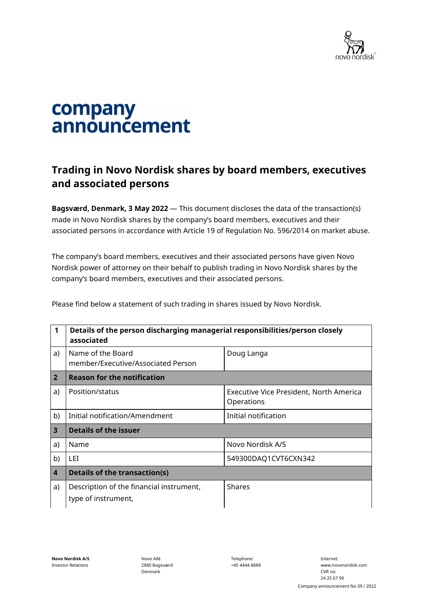

## company announcement

## **Trading in Novo Nordisk shares by board members, executives and associated persons**

**Bagsværd, Denmark, 3 May 2022** — This document discloses the data of the transaction(s) made in Novo Nordisk shares by the company's board members, executives and their associated persons in accordance with Article 19 of Regulation No. 596/2014 on market abuse.

The company's board members, executives and their associated persons have given Novo Nordisk power of attorney on their behalf to publish trading in Novo Nordisk shares by the company's board members, executives and their associated persons.

Please find below a statement of such trading in shares issued by Novo Nordisk.

| 1                       | Details of the person discharging managerial responsibilities/person closely<br>associated |                                                       |  |
|-------------------------|--------------------------------------------------------------------------------------------|-------------------------------------------------------|--|
| a)                      | Name of the Board<br>member/Executive/Associated Person                                    | Doug Langa                                            |  |
| $\overline{2}$          | <b>Reason for the notification</b>                                                         |                                                       |  |
| a)                      | Position/status                                                                            | Executive Vice President, North America<br>Operations |  |
| b)                      | Initial notification/Amendment                                                             | Initial notification                                  |  |
| $\overline{\mathbf{3}}$ | <b>Details of the issuer</b>                                                               |                                                       |  |
| a)                      | Name                                                                                       | Novo Nordisk A/S                                      |  |
| b)                      | LEI                                                                                        | 549300DAQ1CVT6CXN342                                  |  |
| $\overline{4}$          | <b>Details of the transaction(s)</b>                                                       |                                                       |  |
| a)                      | Description of the financial instrument,<br>type of instrument,                            | <b>Shares</b>                                         |  |

Novo Allé 2880 Bagsværd Denmark

Telephone: +45 4444 8888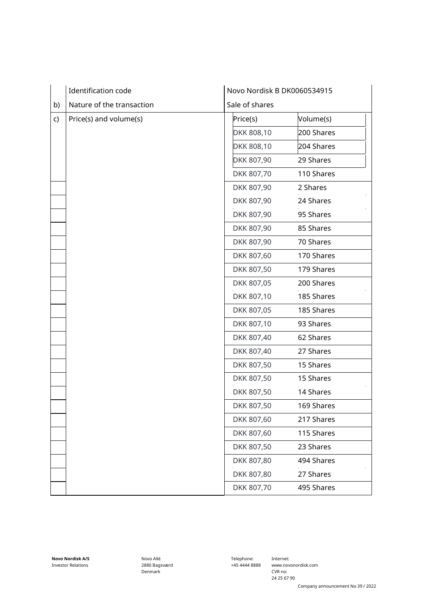|    | Identification code       | Novo Nordisk B DK0060534915 |  |
|----|---------------------------|-----------------------------|--|
| b) | Nature of the transaction | Sale of shares              |  |
| c) | Price(s) and volume(s)    | Volume(s)<br>Price(s)       |  |
|    |                           | DKK 808,10<br>200 Shares    |  |
|    |                           | 204 Shares<br>DKK 808,10    |  |
|    |                           | DKK 807,90<br>29 Shares     |  |
|    |                           | DKK 807,70<br>110 Shares    |  |
|    |                           | DKK 807,90<br>2 Shares      |  |
|    |                           | 24 Shares<br>DKK 807,90     |  |
|    |                           | DKK 807,90<br>95 Shares     |  |
|    |                           | DKK 807,90<br>85 Shares     |  |
|    |                           | DKK 807,90<br>70 Shares     |  |
|    |                           | DKK 807,60<br>170 Shares    |  |
|    |                           | DKK 807,50<br>179 Shares    |  |
|    |                           | 200 Shares<br>DKK 807,05    |  |
|    |                           | DKK 807,10<br>185 Shares    |  |
|    |                           | DKK 807,05<br>185 Shares    |  |
|    |                           | DKK 807,10<br>93 Shares     |  |
|    |                           | DKK 807,40<br>62 Shares     |  |
|    |                           | DKK 807,40<br>27 Shares     |  |
|    |                           | 15 Shares<br>DKK 807,50     |  |
|    |                           | DKK 807,50<br>15 Shares     |  |
|    |                           | DKK 807,50<br>14 Shares     |  |
|    |                           | DKK 807,50<br>169 Shares    |  |
|    |                           | DKK 807,60<br>217 Shares    |  |
|    |                           | DKK 807,60<br>115 Shares    |  |
|    |                           | DKK 807,50<br>23 Shares     |  |
|    |                           | DKK 807,80<br>494 Shares    |  |
|    |                           | DKK 807,80<br>27 Shares     |  |
|    |                           | DKK 807,70<br>495 Shares    |  |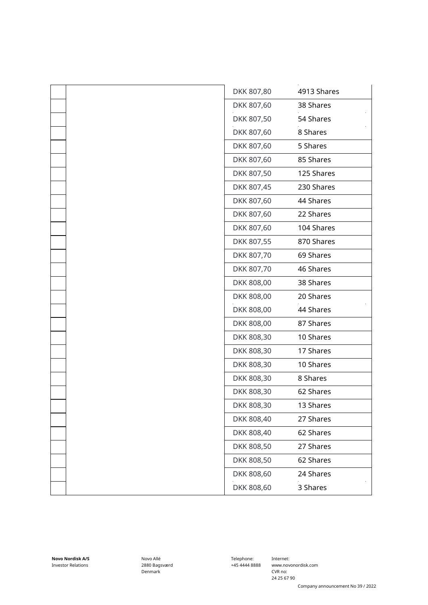| DKK 807,80 | 4913 Shares |
|------------|-------------|
| DKK 807,60 | 38 Shares   |
| DKK 807,50 | 54 Shares   |
| DKK 807,60 | 8 Shares    |
| DKK 807,60 | 5 Shares    |
| DKK 807,60 | 85 Shares   |
| DKK 807,50 | 125 Shares  |
| DKK 807,45 | 230 Shares  |
| DKK 807,60 | 44 Shares   |
| DKK 807,60 | 22 Shares   |
| DKK 807,60 | 104 Shares  |
| DKK 807,55 | 870 Shares  |
| DKK 807,70 | 69 Shares   |
| DKK 807,70 | 46 Shares   |
| DKK 808,00 | 38 Shares   |
| DKK 808,00 | 20 Shares   |
| DKK 808,00 | 44 Shares   |
| DKK 808,00 | 87 Shares   |
| DKK 808,30 | 10 Shares   |
| DKK 808,30 | 17 Shares   |
| DKK 808,30 | 10 Shares   |
| DKK 808,30 | 8 Shares    |
| DKK 808,30 | 62 Shares   |
| DKK 808,30 | 13 Shares   |
| DKK 808,40 | 27 Shares   |
| DKK 808,40 | 62 Shares   |
| DKK 808,50 | 27 Shares   |
| DKK 808,50 | 62 Shares   |
| DKK 808,60 | 24 Shares   |
| DKK 808,60 | 3 Shares    |
|            |             |

Novo Allé 2880 Bagsværd Denmark

Telephone: +45 4444 8888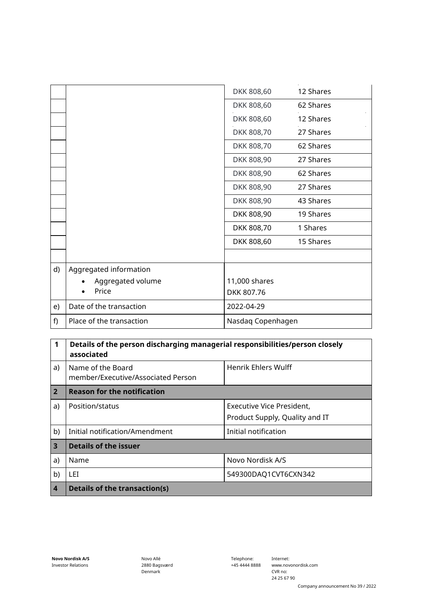|    |                          | DKK 808,60        | 12 Shares |
|----|--------------------------|-------------------|-----------|
|    |                          | DKK 808,60        | 62 Shares |
|    |                          | DKK 808,60        | 12 Shares |
|    |                          | DKK 808,70        | 27 Shares |
|    |                          | DKK 808,70        | 62 Shares |
|    |                          | DKK 808,90        | 27 Shares |
|    |                          | DKK 808,90        | 62 Shares |
|    |                          | DKK 808,90        | 27 Shares |
|    |                          | DKK 808,90        | 43 Shares |
|    |                          | DKK 808,90        | 19 Shares |
|    |                          | DKK 808,70        | 1 Shares  |
|    |                          | DKK 808,60        | 15 Shares |
|    |                          |                   |           |
| d) | Aggregated information   |                   |           |
|    | Aggregated volume        | 11,000 shares     |           |
|    | Price                    | DKK 807.76        |           |
| e) | Date of the transaction  | 2022-04-29        |           |
| f) | Place of the transaction | Nasdaq Copenhagen |           |

| 1              | Details of the person discharging managerial responsibilities/person closely<br>associated |                                |  |
|----------------|--------------------------------------------------------------------------------------------|--------------------------------|--|
| a)             | Name of the Board<br>member/Executive/Associated Person                                    | Henrik Ehlers Wulff            |  |
| $\overline{2}$ | <b>Reason for the notification</b>                                                         |                                |  |
| a)             | Position/status                                                                            | Executive Vice President,      |  |
|                |                                                                                            | Product Supply, Quality and IT |  |
| b)             | Initial notification/Amendment                                                             | Initial notification           |  |
| $\overline{3}$ | <b>Details of the issuer</b>                                                               |                                |  |
| a)             | Name                                                                                       | Novo Nordisk A/S               |  |
| b)             | LEI.                                                                                       | 549300DAQ1CVT6CXN342           |  |
| $\overline{4}$ | Details of the transaction(s)                                                              |                                |  |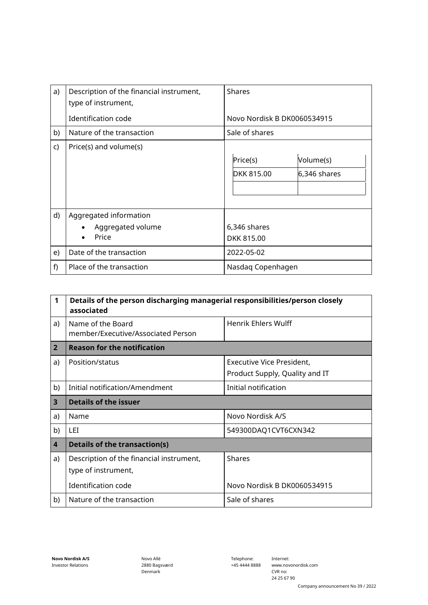| a)           | Description of the financial instrument,<br>type of instrument, | <b>Shares</b>                                                |
|--------------|-----------------------------------------------------------------|--------------------------------------------------------------|
|              | Identification code                                             | Novo Nordisk B DK0060534915                                  |
| b)           | Nature of the transaction                                       | Sale of shares                                               |
| $\mathsf{C}$ | Price(s) and volume(s)                                          | Price(s)<br>Volume(s)<br><b>DKK 815.00</b><br>$6,346$ shares |
| d)           | Aggregated information<br>Aggregated volume<br>Price            | 6,346 shares<br>DKK 815.00                                   |
| e)           | Date of the transaction                                         | 2022-05-02                                                   |
| f)           | Place of the transaction                                        | Nasdaq Copenhagen                                            |

| $\mathbf 1$             | Details of the person discharging managerial responsibilities/person closely<br>associated |                                                             |  |
|-------------------------|--------------------------------------------------------------------------------------------|-------------------------------------------------------------|--|
| a)                      | Name of the Board<br>member/Executive/Associated Person                                    | Henrik Ehlers Wulff                                         |  |
| $\overline{2}$          | <b>Reason for the notification</b>                                                         |                                                             |  |
| a)                      | Position/status                                                                            | Executive Vice President,<br>Product Supply, Quality and IT |  |
| b)                      | Initial notification/Amendment<br>Initial notification                                     |                                                             |  |
| 3                       | Details of the issuer                                                                      |                                                             |  |
| a)                      | Name                                                                                       | Novo Nordisk A/S                                            |  |
| b)                      | 549300DAQ1CVT6CXN342<br>LET.                                                               |                                                             |  |
| $\overline{\mathbf{4}}$ | <b>Details of the transaction(s)</b>                                                       |                                                             |  |
| a)                      | Description of the financial instrument,<br>type of instrument,                            | <b>Shares</b>                                               |  |
|                         | Identification code                                                                        | Novo Nordisk B DK0060534915                                 |  |
| b)                      | Nature of the transaction                                                                  | Sale of shares                                              |  |